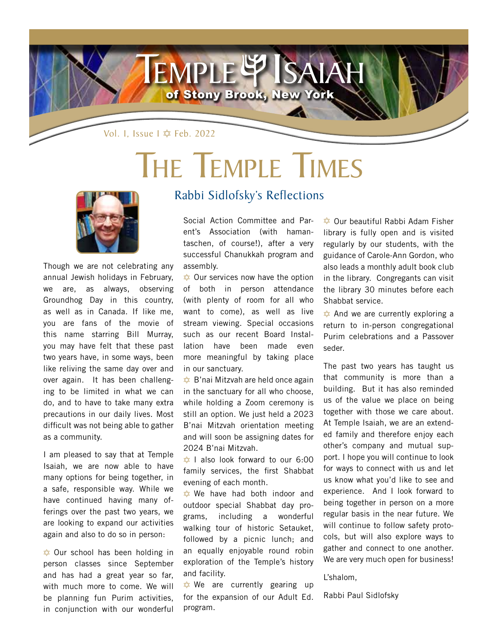

# THE TEMPLE TIMES



Though we are not celebrating any annual Jewish holidays in February, we are, as always, observing Groundhog Day in this country, as well as in Canada. If like me, you are fans of the movie of this name starring Bill Murray, you may have felt that these past two years have, in some ways, been like reliving the same day over and over again. It has been challenging to be limited in what we can do, and to have to take many extra precautions in our daily lives. Most difficult was not being able to gather as a community.

I am pleased to say that at Temple Isaiah, we are now able to have many options for being together, in a safe, responsible way. While we have continued having many offerings over the past two years, we are looking to expand our activities again and also to do so in person:

 $\hat{\varphi}$  Our school has been holding in person classes since September and has had a great year so far, with much more to come. We will be planning fun Purim activities, in conjunction with our wonderful

#### Rabbi Sidlofsky's Reflections

Social Action Committee and Parent's Association (with hamantaschen, of course!), after a very successful Chanukkah program and assembly.

 $\hat{\varphi}$  Our services now have the option of both in person attendance (with plenty of room for all who want to come), as well as live stream viewing. Special occasions such as our recent Board Installation have been made even more meaningful by taking place in our sanctuary.

 $\hat{\varphi}$  B'nai Mitzvah are held once again in the sanctuary for all who choose, while holding a Zoom ceremony is still an option. We just held a 2023 B'nai Mitzvah orientation meeting and will soon be assigning dates for 2024 B'nai Mitzvah.

 $\frac{1}{2}$  I also look forward to our 6:00 family services, the first Shabbat evening of each month.

 $\Leftrightarrow$  We have had both indoor and outdoor special Shabbat day programs, including a wonderful walking tour of historic Setauket, followed by a picnic lunch; and an equally enjoyable round robin exploration of the Temple's history and facility.

 $\Leftrightarrow$  We are currently gearing up for the expansion of our Adult Ed. program.

 $\hat{\varphi}$  Our beautiful Rabbi Adam Fisher library is fully open and is visited regularly by our students, with the guidance of Carole-Ann Gordon, who also leads a monthly adult book club in the library. Congregants can visit the library 30 minutes before each Shabbat service.

 $\hat{\mathbf{x}}$  And we are currently exploring a return to in-person congregational Purim celebrations and a Passover seder.

The past two years has taught us that community is more than a building. But it has also reminded us of the value we place on being together with those we care about. At Temple Isaiah, we are an extended family and therefore enjoy each other's company and mutual support. I hope you will continue to look for ways to connect with us and let us know what you'd like to see and experience. And I look forward to being together in person on a more regular basis in the near future. We will continue to follow safety protocols, but will also explore ways to gather and connect to one another. We are very much open for business!

L'shalom,

Rabbi Paul Sidlofsky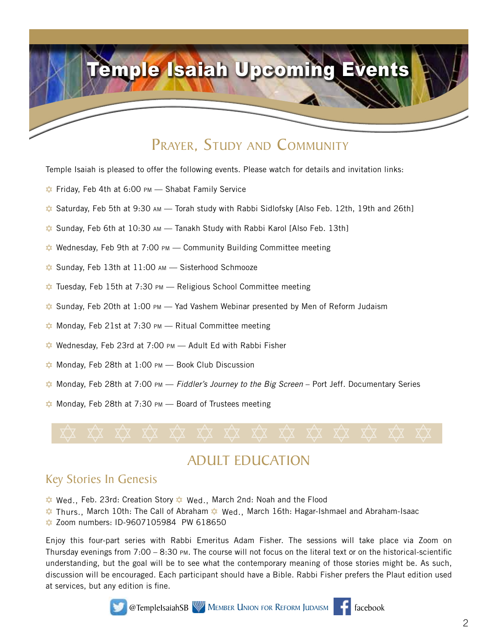# **Emple Isaiah Upcoming**

#### PRAYER, STUDY AND COMMUNITY

Temple Isaiah is pleased to offer the following events. Please watch for details and invitation links:

- $\frac{1}{2}$  Friday, Feb 4th at 6:00 PM Shabat Family Service
- A Saturday, Feb 5th at 9:30 am Torah study with Rabbi Sidlofsky [Also Feb. 12th, 19th and 26th]
- $\hat{\varphi}$  Sunday, Feb 6th at 10:30 AM Tanakh Study with Rabbi Karol [Also Feb. 13th]
- $\Leftrightarrow$  Wednesday, Feb 9th at 7:00 pm Community Building Committee meeting
- $\Leftrightarrow$  Sunday, Feb 13th at 11:00 AM Sisterhood Schmooze
- $\hat{\varphi}$  Tuesday, Feb 15th at 7:30 pm Religious School Committee meeting
- $\Leftrightarrow$  Sunday, Feb 20th at 1:00 pm Yad Vashem Webinar presented by Men of Reform Judaism
- $\Leftrightarrow$  Monday, Feb 21st at 7:30 PM Ritual Committee meeting
- $\Leftrightarrow$  Wednesday, Feb 23rd at 7:00 PM Adult Ed with Rabbi Fisher
- $\hat{\varphi}$  Monday, Feb 28th at 1:00 PM Book Club Discussion
- A Monday, Feb 28th at 7:00 pm *Fiddler's Journey to the Big Screen* Port Jeff. Documentary Series
- $\Leftrightarrow$  Monday, Feb 28th at 7:30 PM Board of Trustees meeting



#### ADULT EDUCATION

#### Key Stories In Genesis

- $\Leftrightarrow$  Wed., Feb. 23rd: Creation Story  $\Leftrightarrow$  Wed., March 2nd: Noah and the Flood
- $\Leftrightarrow$  Thurs., March 10th: The Call of Abraham  $\Leftrightarrow$  Wed., March 16th: Hagar-Ishmael and Abraham-Isaac
- $\frac{1}{2}$  Zoom numbers: ID-9607105984 PW 618650

Enjoy this four-part series with Rabbi Emeritus Adam Fisher. The sessions will take place via Zoom on Thursday evenings from 7:00 – 8:30 pm. The course will not focus on the literal text or on the historical-scientific understanding, but the goal will be to see what the contemporary meaning of those stories might be. As such, discussion will be encouraged. Each participant should have a Bible. Rabbi Fisher prefers the Plaut edition used at services, but any edition is fine.



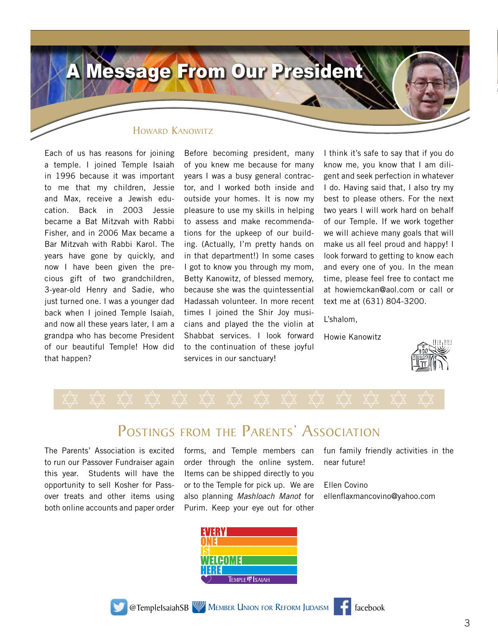## Message From Our President

#### HOWARD KANOWITZ

Each of us has reasons for joining a temple. I joined Temple Isaiah in 1996 because it was important to me that my children, Jessie and Max, receive a Jewish education. Back in 2003 Jessie became a Bat Mitzvah with Rabbi Fisher, and in 2006 Max became a Bar Mitzvah with Rabbi Karol. The years have gone by quickly, and now I have been given the precious gift of two grandchildren, 3-year-old Henry and Sadie, who just turned one. I was a younger dad back when I joined Temple Isaiah, and now all these years later, I am a grandpa who has become President of our beautiful Temple! How did that happen?

Before becoming president, many of you knew me because for many years I was a busy general contractor, and I worked both inside and outside your homes. It is now my pleasure to use my skills in helping to assess and make recommendations for the upkeep of our building. (Actually, I'm pretty hands on in that department!) In some cases I got to know you through my mom, Betty Kanowitz, of blessed memory, because she was the quintessential Hadassah volunteer. In more recent times I joined the Shir Joy musicians and played the the violin at Shabbat services. I look forward to the continuation of these joyful services in our sanctuary!

I think it's safe to say that if you do know me, you know that I am diligent and seek perfection in whatever I do. Having said that, I also try my best to please others. For the next two years I will work hard on behalf of our Temple. If we work together we will achieve many goals that will make us all feel proud and happy! I look forward to getting to know each and every one of you. In the mean time, please feel free to contact me at howiemckan@aol.com or call or text me at (631) 804-3200.

L'shalom,

Howie Kanowitz





#### POSTINGS FROM THE PARENTS' ASSOCIATION

The Parents' Association is excited to run our Passover Fundraiser again this year. Students will have the opportunity to sell Kosher for Passover treats and other items using both online accounts and paper order forms, and Temple members can order through the online system. Items can be shipped directly to you or to the Temple for pick up. We are also planning *Mashloach Manot* for Purim. Keep your eye out for other

fun family friendly activities in the near future!

Ellen Covino ellenflaxmancovino@yahoo.com





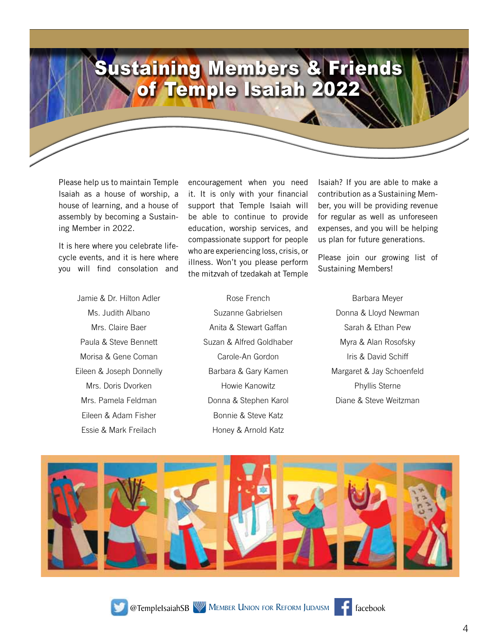### Sustaining Members & Friends Temple Isaiah 202

Please help us to maintain Temple Isaiah as a house of worship, a house of learning, and a house of assembly by becoming a Sustaining Member in 2022.

It is here where you celebrate lifecycle events, and it is here where you will find consolation and

> Jamie & Dr. Hilton Adler Ms. Judith Albano Mrs. Claire Baer Paula & Steve Bennett Morisa & Gene Coman Eileen & Joseph Donnelly Mrs. Doris Dvorken Mrs. Pamela Feldman Eileen & Adam Fisher Essie & Mark Freilach

encouragement when you need it. It is only with your financial support that Temple Isaiah will be able to continue to provide education, worship services, and compassionate support for people who are experiencing loss, crisis, or illness. Won't you please perform the mitzvah of tzedakah at Temple

> Rose French Suzanne Gabrielsen Anita & Stewart Gaffan Suzan & Alfred Goldhaber Carole-An Gordon Barbara & Gary Kamen Howie Kanowitz Donna & Stephen Karol Bonnie & Steve Katz Honey & Arnold Katz

Isaiah? If you are able to make a contribution as a Sustaining Member, you will be providing revenue for regular as well as unforeseen expenses, and you will be helping us plan for future generations.

Please join our growing list of Sustaining Members!

> Barbara Meyer Donna & Lloyd Newman Sarah & Ethan Pew Myra & Alan Rosofsky Iris & David Schiff Margaret & Jay Schoenfeld Phyllis Sterne Diane & Steve Weitzman





@TempleIsaiahSB W MEMBER UNION FOR REFORM JUDAISM facebook

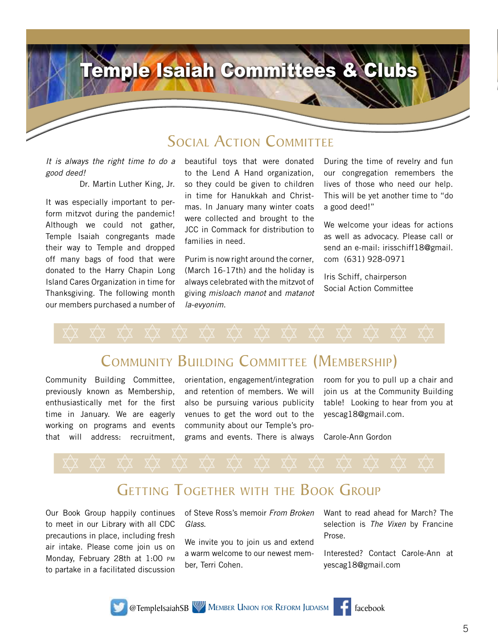# Temple Isaiah Committees SOCIAL ACTION COMMITTEE

*It is always the right time to do a good deed!*

Dr. Martin Luther King, Jr.

It was especially important to perform mitzvot during the pandemic! Although we could not gather, Temple Isaiah congregants made their way to Temple and dropped off many bags of food that were donated to the Harry Chapin Long Island Cares Organization in time for Thanksgiving. The following month our members purchased a number of

beautiful toys that were donated to the Lend A Hand organization, so they could be given to children in time for Hanukkah and Christmas. In January many winter coats were collected and brought to the JCC in Commack for distribution to families in need.

Purim is now right around the corner, (March 16-17th) and the holiday is always celebrated with the mitzvot of giving *misloach manot* and *matanot la-evyonim*.

During the time of revelry and fun our congregation remembers the lives of those who need our help. This will be yet another time to "do a good deed!"

We welcome your ideas for actions as well as advocacy. Please call or send an e-mail: irisschiff18@gmail. com (631) 928-0971

Iris Schiff, chairperson Social Action Committee



#### Community Building Committee (Membership)

Community Building Committee, previously known as Membership, enthusiastically met for the first time in January. We are eagerly working on programs and events that will address: recruitment,

orientation, engagement/integration and retention of members. We will also be pursuing various publicity venues to get the word out to the community about our Temple's programs and events. There is always Carole-Ann Gordon

room for you to pull up a chair and join us at the Community Building table! Looking to hear from you at yescag18@gmail.com.

# A A A A A A A A A A A A A A

#### Getting Together with the Book Group

Our Book Group happily continues to meet in our Library with all CDC precautions in place, including fresh air intake. Please come join us on Monday, February 28th at 1:00 pm to partake in a facilitated discussion of Steve Ross's memoir *From Broken Glass*.

We invite you to join us and extend a warm welcome to our newest member, Terri Cohen.

Want to read ahead for March? The selection is *The Vixen* by Francine Prose.

Interested? Contact Carole-Ann at yescag18@gmail.com

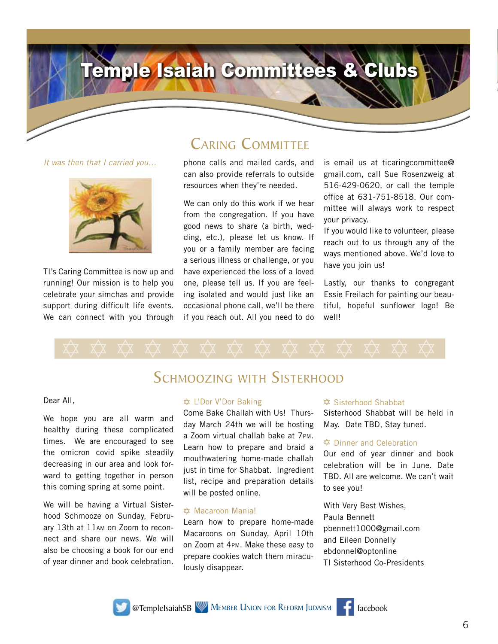# Temple Isaiah Committees

*It was then that I carried you…*



TI's Caring Committee is now up and running! Our mission is to help you celebrate your simchas and provide support during difficult life events. We can connect with you through

#### Caring Committee

phone calls and mailed cards, and can also provide referrals to outside resources when they're needed.

We can only do this work if we hear from the congregation. If you have good news to share (a birth, wedding, etc.), please let us know. If you or a family member are facing a serious illness or challenge, or you have experienced the loss of a loved one, please tell us. If you are feeling isolated and would just like an occasional phone call, we'll be there if you reach out. All you need to do

is email us at ticaringcommittee@ gmail.com, call Sue Rosenzweig at 516-429-0620, or call the temple office at 631-751-8518. Our committee will always work to respect your privacy.

If you would like to volunteer, please reach out to us through any of the ways mentioned above. We'd love to have you join us!

Lastly, our thanks to congregant Essie Freilach for painting our beautiful, hopeful sunflower logo! Be well!



#### SCHMOOZING WITH SISTERHOOD

#### Dear All,

We hope you are all warm and healthy during these complicated times. We are encouraged to see the omicron covid spike steadily decreasing in our area and look forward to getting together in person this coming spring at some point.

We will be having a Virtual Sisterhood Schmooze on Sunday, February 13th at 11am on Zoom to reconnect and share our news. We will also be choosing a book for our end of year dinner and book celebration.

#### A L'Dor V'Dor Baking

Come Bake Challah with Us! Thursday March 24th we will be hosting a Zoom virtual challah bake at 7pm. Learn how to prepare and braid a mouthwatering home-made challah just in time for Shabbat. Ingredient list, recipe and preparation details will be posted online.

#### $\hat{x}$  Macaroon Mania!

Learn how to prepare home-made Macaroons on Sunday, April 10th on Zoom at 4pm. Make these easy to prepare cookies watch them miraculously disappear.

#### A Sisterhood Shabbat

Sisterhood Shabbat will be held in May. Date TBD, Stay tuned.

#### A Dinner and Celebration

Our end of year dinner and book celebration will be in June. Date TBD. All are welcome. We can't wait to see you!

With Very Best Wishes, Paula Bennett pbennett1000@gmail.com and Eileen Donnelly ebdonnel@optonline TI Sisterhood Co-Presidents